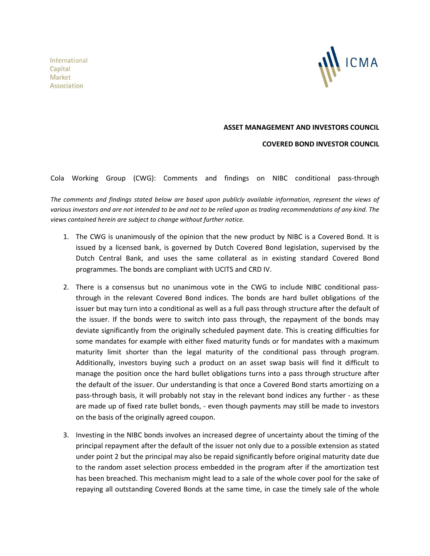International Capital Market Association



## **ASSET MANAGEMENT AND INVESTORS COUNCIL**

**COVERED BOND INVESTOR COUNCIL**

Cola Working Group (CWG): Comments and findings on NIBC conditional pass-through

*The comments and findings stated below are based upon publicly available information, represent the views of various investors and are not intended to be and not to be relied upon as trading recommendations of any kind. The views contained herein are subject to change without further notice.*

- 1. The CWG is unanimously of the opinion that the new product by NIBC is a Covered Bond. It is issued by a licensed bank, is governed by Dutch Covered Bond legislation, supervised by the Dutch Central Bank, and uses the same collateral as in existing standard Covered Bond programmes. The bonds are compliant with UCITS and CRD IV.
- 2. There is a consensus but no unanimous vote in the CWG to include NIBC conditional passthrough in the relevant Covered Bond indices. The bonds are hard bullet obligations of the issuer but may turn into a conditional as well as a full pass through structure after the default of the issuer. If the bonds were to switch into pass through, the repayment of the bonds may deviate significantly from the originally scheduled payment date. This is creating difficulties for some mandates for example with either fixed maturity funds or for mandates with a maximum maturity limit shorter than the legal maturity of the conditional pass through program. Additionally, investors buying such a product on an asset swap basis will find it difficult to manage the position once the hard bullet obligations turns into a pass through structure after the default of the issuer. Our understanding is that once a Covered Bond starts amortizing on a pass-through basis, it will probably not stay in the relevant bond indices any further - as these are made up of fixed rate bullet bonds, - even though payments may still be made to investors on the basis of the originally agreed coupon.
- 3. Investing in the NIBC bonds involves an increased degree of uncertainty about the timing of the principal repayment after the default of the issuer not only due to a possible extension as stated under point 2 but the principal may also be repaid significantly before original maturity date due to the random asset selection process embedded in the program after if the amortization test has been breached. This mechanism might lead to a sale of the whole cover pool for the sake of repaying all outstanding Covered Bonds at the same time, in case the timely sale of the whole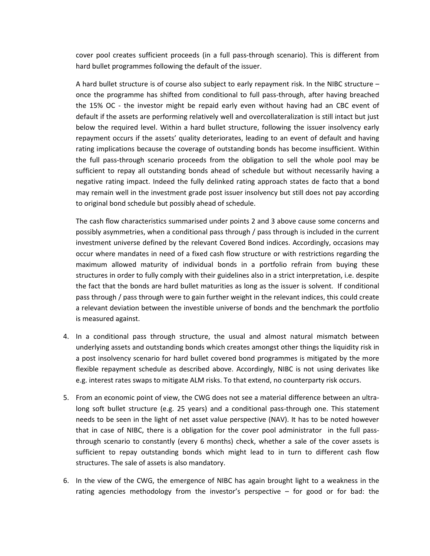cover pool creates sufficient proceeds (in a full pass-through scenario). This is different from hard bullet programmes following the default of the issuer.

A hard bullet structure is of course also subject to early repayment risk. In the NIBC structure – once the programme has shifted from conditional to full pass-through, after having breached the 15% OC - the investor might be repaid early even without having had an CBC event of default if the assets are performing relatively well and overcollateralization is still intact but just below the required level. Within a hard bullet structure, following the issuer insolvency early repayment occurs if the assets' quality deteriorates, leading to an event of default and having rating implications because the coverage of outstanding bonds has become insufficient. Within the full pass-through scenario proceeds from the obligation to sell the whole pool may be sufficient to repay all outstanding bonds ahead of schedule but without necessarily having a negative rating impact. Indeed the fully delinked rating approach states de facto that a bond may remain well in the investment grade post issuer insolvency but still does not pay according to original bond schedule but possibly ahead of schedule.

The cash flow characteristics summarised under points 2 and 3 above cause some concerns and possibly asymmetries, when a conditional pass through / pass through is included in the current investment universe defined by the relevant Covered Bond indices. Accordingly, occasions may occur where mandates in need of a fixed cash flow structure or with restrictions regarding the maximum allowed maturity of individual bonds in a portfolio refrain from buying these structures in order to fully comply with their guidelines also in a strict interpretation, i.e. despite the fact that the bonds are hard bullet maturities as long as the issuer is solvent. If conditional pass through / pass through were to gain further weight in the relevant indices, this could create a relevant deviation between the investible universe of bonds and the benchmark the portfolio is measured against.

- 4. In a conditional pass through structure, the usual and almost natural mismatch between underlying assets and outstanding bonds which creates amongst other things the liquidity risk in a post insolvency scenario for hard bullet covered bond programmes is mitigated by the more flexible repayment schedule as described above. Accordingly, NIBC is not using derivates like e.g. interest rates swaps to mitigate ALM risks. To that extend, no counterparty risk occurs.
- 5. From an economic point of view, the CWG does not see a material difference between an ultralong soft bullet structure (e.g. 25 years) and a conditional pass-through one. This statement needs to be seen in the light of net asset value perspective (NAV). It has to be noted however that in case of NIBC, there is a obligation for the cover pool administrator in the full passthrough scenario to constantly (every 6 months) check, whether a sale of the cover assets is sufficient to repay outstanding bonds which might lead to in turn to different cash flow structures. The sale of assets is also mandatory.
- 6. In the view of the CWG, the emergence of NIBC has again brought light to a weakness in the rating agencies methodology from the investor's perspective – for good or for bad: the